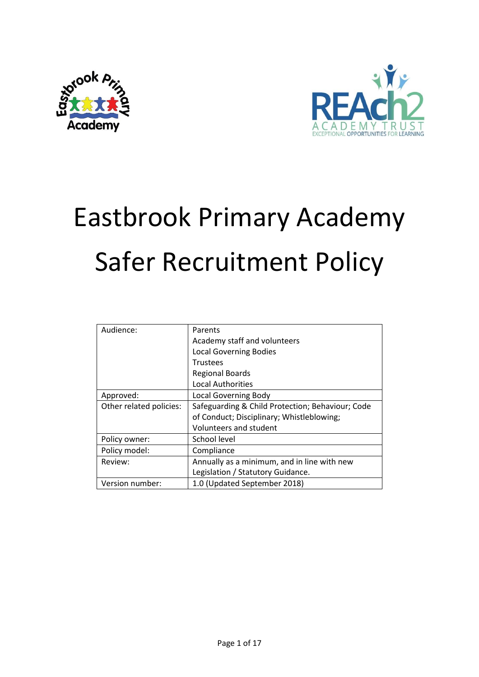



# Eastbrook Primary Academy Safer Recruitment Policy

| Audience:               | Parents                                          |
|-------------------------|--------------------------------------------------|
|                         | Academy staff and volunteers                     |
|                         | <b>Local Governing Bodies</b>                    |
|                         | <b>Trustees</b>                                  |
|                         | <b>Regional Boards</b>                           |
|                         | <b>Local Authorities</b>                         |
| Approved:               | <b>Local Governing Body</b>                      |
| Other related policies: | Safeguarding & Child Protection; Behaviour; Code |
|                         | of Conduct; Disciplinary; Whistleblowing;        |
|                         | Volunteers and student                           |
| Policy owner:           | School level                                     |
| Policy model:           | Compliance                                       |
| Review:                 | Annually as a minimum, and in line with new      |
|                         | Legislation / Statutory Guidance.                |
| Version number:         | 1.0 (Updated September 2018)                     |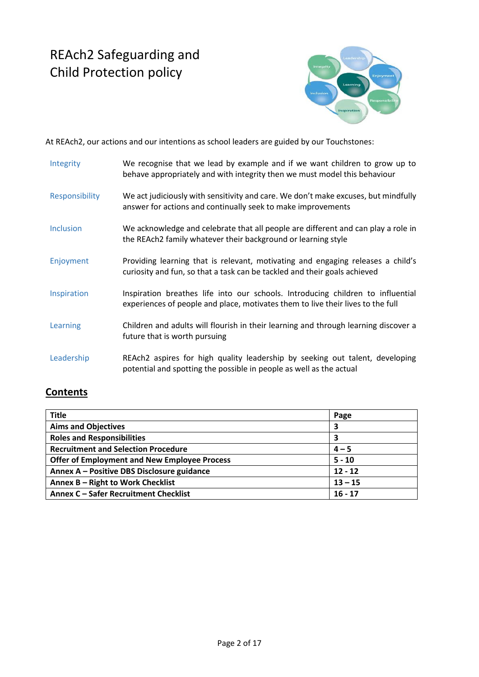# REAch2 Safeguarding and Child Protection policy



At REAch2, our actions and our intentions as school leaders are guided by our Touchstones:

| Integrity        | We recognise that we lead by example and if we want children to grow up to<br>behave appropriately and with integrity then we must model this behaviour            |
|------------------|--------------------------------------------------------------------------------------------------------------------------------------------------------------------|
| Responsibility   | We act judiciously with sensitivity and care. We don't make excuses, but mindfully<br>answer for actions and continually seek to make improvements                 |
| <b>Inclusion</b> | We acknowledge and celebrate that all people are different and can play a role in<br>the REAch2 family whatever their background or learning style                 |
| Enjoyment        | Providing learning that is relevant, motivating and engaging releases a child's<br>curiosity and fun, so that a task can be tackled and their goals achieved       |
| Inspiration      | Inspiration breathes life into our schools. Introducing children to influential<br>experiences of people and place, motivates them to live their lives to the full |
| Learning         | Children and adults will flourish in their learning and through learning discover a<br>future that is worth pursuing                                               |
| Leadership       | REAch2 aspires for high quality leadership by seeking out talent, developing<br>potential and spotting the possible in people as well as the actual                |

## **Contents**

| <b>Title</b>                                        | Page      |
|-----------------------------------------------------|-----------|
| <b>Aims and Objectives</b>                          | 3         |
| <b>Roles and Responsibilities</b>                   | 3         |
| <b>Recruitment and Selection Procedure</b>          | $4 - 5$   |
| <b>Offer of Employment and New Employee Process</b> | $5 - 10$  |
| Annex A - Positive DBS Disclosure guidance          | $12 - 12$ |
| Annex B - Right to Work Checklist                   | $13 - 15$ |
| Annex C - Safer Recruitment Checklist               | $16 - 17$ |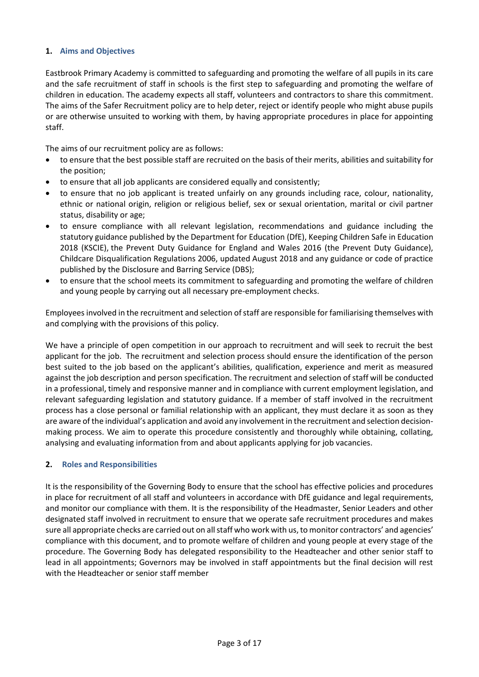#### **1. Aims and Objectives**

Eastbrook Primary Academy is committed to safeguarding and promoting the welfare of all pupils in its care and the safe recruitment of staff in schools is the first step to safeguarding and promoting the welfare of children in education. The academy expects all staff, volunteers and contractors to share this commitment. The aims of the Safer Recruitment policy are to help deter, reject or identify people who might abuse pupils or are otherwise unsuited to working with them, by having appropriate procedures in place for appointing staff.

The aims of our recruitment policy are as follows:

- to ensure that the best possible staff are recruited on the basis of their merits, abilities and suitability for the position;
- to ensure that all job applicants are considered equally and consistently;
- to ensure that no job applicant is treated unfairly on any grounds including race, colour, nationality, ethnic or national origin, religion or religious belief, sex or sexual orientation, marital or civil partner status, disability or age;
- to ensure compliance with all relevant legislation, recommendations and guidance including the statutory guidance published by the Department for Education (DfE), Keeping Children Safe in Education 2018 (KSCIE), the Prevent Duty Guidance for England and Wales 2016 (the Prevent Duty Guidance), Childcare Disqualification Regulations 2006, updated August 2018 and any guidance or code of practice published by the Disclosure and Barring Service (DBS);
- to ensure that the school meets its commitment to safeguarding and promoting the welfare of children and young people by carrying out all necessary pre-employment checks.

Employees involved in the recruitment and selection of staff are responsible for familiarising themselves with and complying with the provisions of this policy.

We have a principle of open competition in our approach to recruitment and will seek to recruit the best applicant for the job. The recruitment and selection process should ensure the identification of the person best suited to the job based on the applicant's abilities, qualification, experience and merit as measured against the job description and person specification. The recruitment and selection of staff will be conducted in a professional, timely and responsive manner and in compliance with current employment legislation, and relevant safeguarding legislation and statutory guidance. If a member of staff involved in the recruitment process has a close personal or familial relationship with an applicant, they must declare it as soon as they are aware of the individual's application and avoid any involvement in the recruitment and selection decisionmaking process. We aim to operate this procedure consistently and thoroughly while obtaining, collating, analysing and evaluating information from and about applicants applying for job vacancies.

#### **2. Roles and Responsibilities**

It is the responsibility of the Governing Body to ensure that the school has effective policies and procedures in place for recruitment of all staff and volunteers in accordance with DfE guidance and legal requirements, and monitor our compliance with them. It is the responsibility of the Headmaster, Senior Leaders and other designated staff involved in recruitment to ensure that we operate safe recruitment procedures and makes sure all appropriate checks are carried out on all staff who work with us, to monitor contractors' and agencies' compliance with this document, and to promote welfare of children and young people at every stage of the procedure. The Governing Body has delegated responsibility to the Headteacher and other senior staff to lead in all appointments; Governors may be involved in staff appointments but the final decision will rest with the Headteacher or senior staff member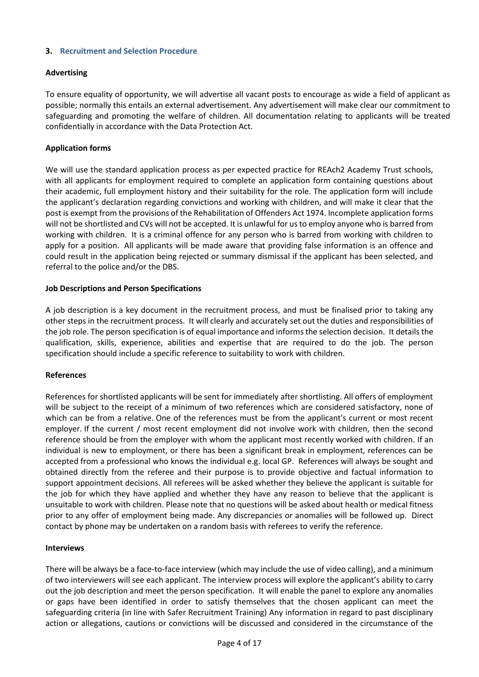#### **3. Recruitment and Selection Procedure**

#### **Advertising**

To ensure equality of opportunity, we will advertise all vacant posts to encourage as wide a field of applicant as possible; normally this entails an external advertisement. Any advertisement will make clear our commitment to safeguarding and promoting the welfare of children. All documentation relating to applicants will be treated confidentially in accordance with the Data Protection Act.

#### **Application forms**

We will use the standard application process as per expected practice for REAch2 Academy Trust schools, with all applicants for employment required to complete an application form containing questions about their academic, full employment history and their suitability for the role. The application form will include the applicant's declaration regarding convictions and working with children, and will make it clear that the post is exempt from the provisions of the Rehabilitation of Offenders Act 1974. Incomplete application forms will not be shortlisted and CVs will not be accepted. It is unlawful for us to employ anyone who is barred from working with children. It is a criminal offence for any person who is barred from working with children to apply for a position. All applicants will be made aware that providing false information is an offence and could result in the application being rejected or summary dismissal if the applicant has been selected, and referral to the police and/or the DBS.

#### **Job Descriptions and Person Specifications**

A job description is a key document in the recruitment process, and must be finalised prior to taking any other steps in the recruitment process. It will clearly and accurately set out the duties and responsibilities of the job role. The person specification is of equal importance and informs the selection decision. It details the qualification, skills, experience, abilities and expertise that are required to do the job. The person specification should include a specific reference to suitability to work with children.

#### **References**

References for shortlisted applicants will be sent for immediately after shortlisting. All offers of employment will be subject to the receipt of a minimum of two references which are considered satisfactory, none of which can be from a relative. One of the references must be from the applicant's current or most recent employer. If the current / most recent employment did not involve work with children, then the second reference should be from the employer with whom the applicant most recently worked with children. If an individual is new to employment, or there has been a significant break in employment, references can be accepted from a professional who knows the individual e.g. local GP. References will always be sought and obtained directly from the referee and their purpose is to provide objective and factual information to support appointment decisions. All referees will be asked whether they believe the applicant is suitable for the job for which they have applied and whether they have any reason to believe that the applicant is unsuitable to work with children. Please note that no questions will be asked about health or medical fitness prior to any offer of employment being made. Any discrepancies or anomalies will be followed up. Direct contact by phone may be undertaken on a random basis with referees to verify the reference.

#### **Interviews**

There will be always be a face-to-face interview (which may include the use of video calling), and a minimum of two interviewers will see each applicant. The interview process will explore the applicant's ability to carry out the job description and meet the person specification. It will enable the panel to explore any anomalies or gaps have been identified in order to satisfy themselves that the chosen applicant can meet the safeguarding criteria (in line with Safer Recruitment Training) Any information in regard to past disciplinary action or allegations, cautions or convictions will be discussed and considered in the circumstance of the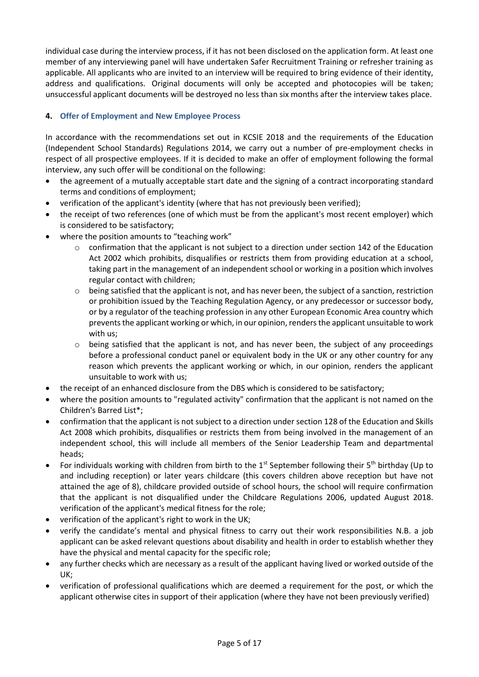individual case during the interview process, if it has not been disclosed on the application form. At least one member of any interviewing panel will have undertaken Safer Recruitment Training or refresher training as applicable. All applicants who are invited to an interview will be required to bring evidence of their identity, address and qualifications. Original documents will only be accepted and photocopies will be taken; unsuccessful applicant documents will be destroyed no less than six months after the interview takes place.

#### **4. Offer of Employment and New Employee Process**

In accordance with the recommendations set out in KCSIE 2018 and the requirements of the Education (Independent School Standards) Regulations 2014, we carry out a number of pre-employment checks in respect of all prospective employees. If it is decided to make an offer of employment following the formal interview, any such offer will be conditional on the following:

- the agreement of a mutually acceptable start date and the signing of a contract incorporating standard terms and conditions of employment;
- verification of the applicant's identity (where that has not previously been verified);
- the receipt of two references (one of which must be from the applicant's most recent employer) which is considered to be satisfactory;
- where the position amounts to "teaching work"
	- $\circ$  confirmation that the applicant is not subject to a direction under section 142 of the Education Act 2002 which prohibits, disqualifies or restricts them from providing education at a school, taking part in the management of an independent school or working in a position which involves regular contact with children;
	- $\circ$  being satisfied that the applicant is not, and has never been, the subject of a sanction, restriction or prohibition issued by the Teaching Regulation Agency, or any predecessor or successor body, or by a regulator of the teaching profession in any other European Economic Area country which prevents the applicant working or which, in our opinion, renders the applicant unsuitable to work with us;
	- being satisfied that the applicant is not, and has never been, the subject of any proceedings before a professional conduct panel or equivalent body in the UK or any other country for any reason which prevents the applicant working or which, in our opinion, renders the applicant unsuitable to work with us;
- the receipt of an enhanced disclosure from the DBS which is considered to be satisfactory;
- where the position amounts to "regulated activity" confirmation that the applicant is not named on the Children's Barred List\*;
- confirmation that the applicant is not subject to a direction under section 128 of the Education and Skills Act 2008 which prohibits, disqualifies or restricts them from being involved in the management of an independent school, this will include all members of the Senior Leadership Team and departmental heads;
- For individuals working with children from birth to the 1<sup>st</sup> September following their 5<sup>th</sup> birthday (Up to and including reception) or later years childcare (this covers children above reception but have not attained the age of 8), childcare provided outside of school hours, the school will require confirmation that the applicant is not disqualified under the Childcare Regulations 2006, updated August 2018. verification of the applicant's medical fitness for the role;
- verification of the applicant's right to work in the UK;
- verify the candidate's mental and physical fitness to carry out their work responsibilities N.B. a job applicant can be asked relevant questions about disability and health in order to establish whether they have the physical and mental capacity for the specific role;
- any further checks which are necessary as a result of the applicant having lived or worked outside of the UK;
- verification of professional qualifications which are deemed a requirement for the post, or which the applicant otherwise cites in support of their application (where they have not been previously verified)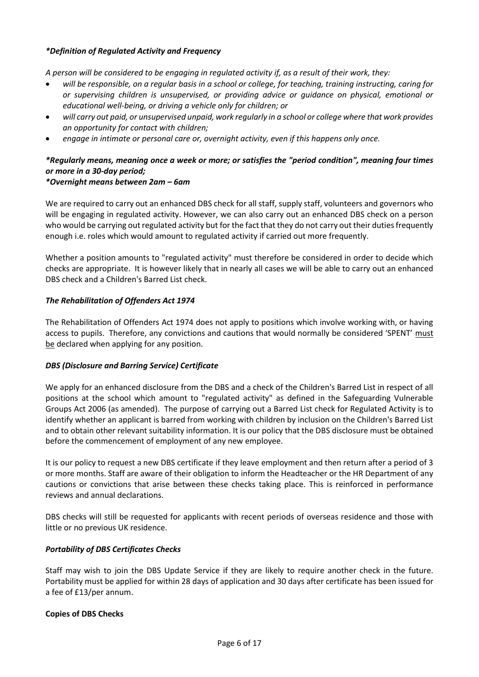#### *\*Definition of Regulated Activity and Frequency*

*A person will be considered to be engaging in regulated activity if, as a result of their work, they:* 

- *will be responsible, on a regular basis in a school or college, for teaching, training instructing, caring for or supervising children is unsupervised, or providing advice or guidance on physical, emotional or educational well-being, or driving a vehicle only for children; or*
- *will carry out paid, or unsupervised unpaid, work regularly in a school or college where that work provides an opportunity for contact with children;*
- *engage in intimate or personal care or, overnight activity, even if this happens only once.*

## *\*Regularly means, meaning once a week or more; or satisfies the "period condition", meaning four times or more in a 30-day period;*

#### *\*Overnight means between 2am – 6am*

We are required to carry out an enhanced DBS check for all staff, supply staff, volunteers and governors who will be engaging in regulated activity. However, we can also carry out an enhanced DBS check on a person who would be carrying out regulated activity but for the fact that they do not carry out their duties frequently enough i.e. roles which would amount to regulated activity if carried out more frequently.

Whether a position amounts to "regulated activity" must therefore be considered in order to decide which checks are appropriate. It is however likely that in nearly all cases we will be able to carry out an enhanced DBS check and a Children's Barred List check.

#### *The Rehabilitation of Offenders Act 1974*

The Rehabilitation of Offenders Act 1974 does not apply to positions which involve working with, or having access to pupils. Therefore, any convictions and cautions that would normally be considered 'SPENT' must be declared when applying for any position.

#### *DBS (Disclosure and Barring Service) Certificate*

We apply for an enhanced disclosure from the DBS and a check of the Children's Barred List in respect of all positions at the school which amount to "regulated activity" as defined in the Safeguarding Vulnerable Groups Act 2006 (as amended). The purpose of carrying out a Barred List check for Regulated Activity is to identify whether an applicant is barred from working with children by inclusion on the Children's Barred List and to obtain other relevant suitability information. It is our policy that the DBS disclosure must be obtained before the commencement of employment of any new employee.

It is our policy to request a new DBS certificate if they leave employment and then return after a period of 3 or more months. Staff are aware of their obligation to inform the Headteacher or the HR Department of any cautions or convictions that arise between these checks taking place. This is reinforced in performance reviews and annual declarations.

DBS checks will still be requested for applicants with recent periods of overseas residence and those with little or no previous UK residence.

#### *Portability of DBS Certificates Checks*

Staff may wish to join the DBS Update Service if they are likely to require another check in the future. Portability must be applied for within 28 days of application and 30 days after certificate has been issued for a fee of £13/per annum.

#### **Copies of DBS Checks**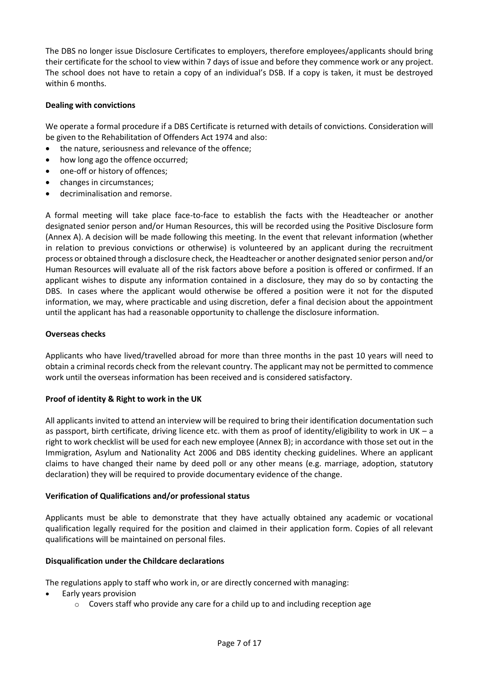The DBS no longer issue Disclosure Certificates to employers, therefore employees/applicants should bring their certificate for the school to view within 7 days of issue and before they commence work or any project. The school does not have to retain a copy of an individual's DSB. If a copy is taken, it must be destroyed within 6 months.

#### **Dealing with convictions**

We operate a formal procedure if a DBS Certificate is returned with details of convictions. Consideration will be given to the Rehabilitation of Offenders Act 1974 and also:

- the nature, seriousness and relevance of the offence:
- how long ago the offence occurred;
- one-off or history of offences;
- changes in circumstances;
- decriminalisation and remorse.

A formal meeting will take place face-to-face to establish the facts with the Headteacher or another designated senior person and/or Human Resources, this will be recorded using the Positive Disclosure form (Annex A). A decision will be made following this meeting. In the event that relevant information (whether in relation to previous convictions or otherwise) is volunteered by an applicant during the recruitment process or obtained through a disclosure check, the Headteacher or another designated senior person and/or Human Resources will evaluate all of the risk factors above before a position is offered or confirmed. If an applicant wishes to dispute any information contained in a disclosure, they may do so by contacting the DBS. In cases where the applicant would otherwise be offered a position were it not for the disputed information, we may, where practicable and using discretion, defer a final decision about the appointment until the applicant has had a reasonable opportunity to challenge the disclosure information.

#### **Overseas checks**

Applicants who have lived/travelled abroad for more than three months in the past 10 years will need to obtain a criminal records check from the relevant country. The applicant may not be permitted to commence work until the overseas information has been received and is considered satisfactory.

#### **Proof of identity & Right to work in the UK**

All applicants invited to attend an interview will be required to bring their identification documentation such as passport, birth certificate, driving licence etc. with them as proof of identity/eligibility to work in UK – a right to work checklist will be used for each new employee (Annex B); in accordance with those set out in the Immigration, Asylum and Nationality Act 2006 and DBS identity checking guidelines. Where an applicant claims to have changed their name by deed poll or any other means (e.g. marriage, adoption, statutory declaration) they will be required to provide documentary evidence of the change.

#### **Verification of Qualifications and/or professional status**

Applicants must be able to demonstrate that they have actually obtained any academic or vocational qualification legally required for the position and claimed in their application form. Copies of all relevant qualifications will be maintained on personal files.

#### **Disqualification under the Childcare declarations**

The regulations apply to staff who work in, or are directly concerned with managing:

- Early years provision
	- $\circ$  Covers staff who provide any care for a child up to and including reception age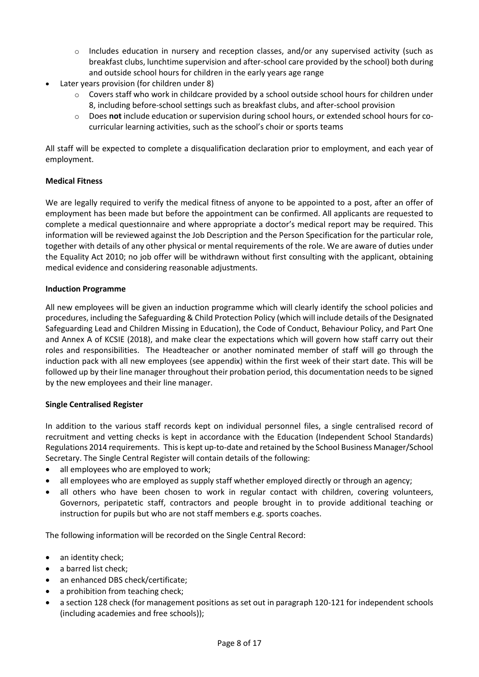- $\circ$  Includes education in nursery and reception classes, and/or any supervised activity (such as breakfast clubs, lunchtime supervision and after-school care provided by the school) both during and outside school hours for children in the early years age range
- Later years provision (for children under 8)
	- $\circ$  Covers staff who work in childcare provided by a school outside school hours for children under 8, including before-school settings such as breakfast clubs, and after-school provision
	- o Does **not** include education or supervision during school hours, or extended school hours for cocurricular learning activities, such as the school's choir or sports teams

All staff will be expected to complete a disqualification declaration prior to employment, and each year of employment.

#### **Medical Fitness**

We are legally required to verify the medical fitness of anyone to be appointed to a post, after an offer of employment has been made but before the appointment can be confirmed. All applicants are requested to complete a medical questionnaire and where appropriate a doctor's medical report may be required. This information will be reviewed against the Job Description and the Person Specification for the particular role, together with details of any other physical or mental requirements of the role. We are aware of duties under the Equality Act 2010; no job offer will be withdrawn without first consulting with the applicant, obtaining medical evidence and considering reasonable adjustments.

#### **Induction Programme**

All new employees will be given an induction programme which will clearly identify the school policies and procedures, including the Safeguarding & Child Protection Policy (which will include details of the Designated Safeguarding Lead and Children Missing in Education), the Code of Conduct, Behaviour Policy, and Part One and Annex A of KCSIE (2018), and make clear the expectations which will govern how staff carry out their roles and responsibilities. The Headteacher or another nominated member of staff will go through the induction pack with all new employees (see appendix) within the first week of their start date. This will be followed up by their line manager throughout their probation period, this documentation needs to be signed by the new employees and their line manager.

#### **Single Centralised Register**

In addition to the various staff records kept on individual personnel files, a single centralised record of recruitment and vetting checks is kept in accordance with the Education (Independent School Standards) Regulations 2014 requirements. This is kept up-to-date and retained by the School Business Manager/School Secretary. The Single Central Register will contain details of the following:

- all employees who are employed to work;
- all employees who are employed as supply staff whether employed directly or through an agency;
- all others who have been chosen to work in regular contact with children, covering volunteers, Governors, peripatetic staff, contractors and people brought in to provide additional teaching or instruction for pupils but who are not staff members e.g. sports coaches.

The following information will be recorded on the Single Central Record:

- an identity check;
- a barred list check;
- an enhanced DBS check/certificate;
- a prohibition from teaching check;
- a section 128 check (for management positions as set out in paragraph 120-121 for independent schools (including academies and free schools));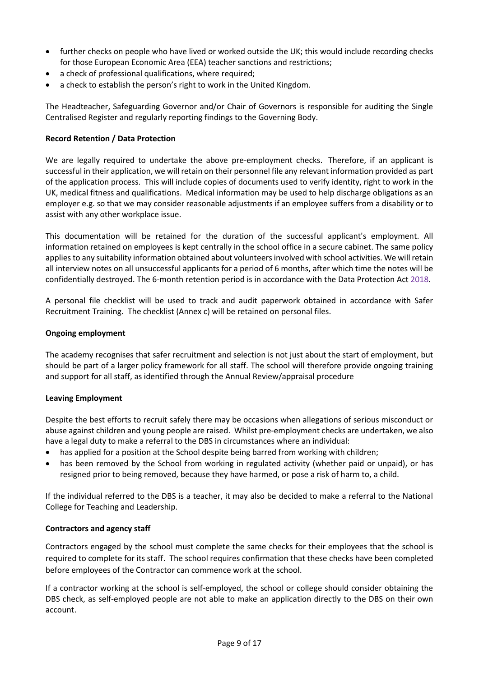- further checks on people who have lived or worked outside the UK; this would include recording checks for those European Economic Area (EEA) teacher sanctions and restrictions;
- a check of professional qualifications, where required;
- a check to establish the person's right to work in the United Kingdom.

The Headteacher, Safeguarding Governor and/or Chair of Governors is responsible for auditing the Single Centralised Register and regularly reporting findings to the Governing Body.

#### **Record Retention / Data Protection**

We are legally required to undertake the above pre-employment checks. Therefore, if an applicant is successful in their application, we will retain on their personnel file any relevant information provided as part of the application process. This will include copies of documents used to verify identity, right to work in the UK, medical fitness and qualifications. Medical information may be used to help discharge obligations as an employer e.g. so that we may consider reasonable adjustments if an employee suffers from a disability or to assist with any other workplace issue.

This documentation will be retained for the duration of the successful applicant's employment. All information retained on employees is kept centrally in the school office in a secure cabinet. The same policy applies to any suitability information obtained about volunteers involved with school activities. We will retain all interview notes on all unsuccessful applicants for a period of 6 months, after which time the notes will be confidentially destroyed. The 6-month retention period is in accordance with the Data Protection Act 2018.

A personal file checklist will be used to track and audit paperwork obtained in accordance with Safer Recruitment Training. The checklist (Annex c) will be retained on personal files.

#### **Ongoing employment**

The academy recognises that safer recruitment and selection is not just about the start of employment, but should be part of a larger policy framework for all staff. The school will therefore provide ongoing training and support for all staff, as identified through the Annual Review/appraisal procedure

#### **Leaving Employment**

Despite the best efforts to recruit safely there may be occasions when allegations of serious misconduct or abuse against children and young people are raised. Whilst pre-employment checks are undertaken, we also have a legal duty to make a referral to the DBS in circumstances where an individual:

- has applied for a position at the School despite being barred from working with children;
- has been removed by the School from working in regulated activity (whether paid or unpaid), or has resigned prior to being removed, because they have harmed, or pose a risk of harm to, a child.

If the individual referred to the DBS is a teacher, it may also be decided to make a referral to the National College for Teaching and Leadership.

#### **Contractors and agency staff**

Contractors engaged by the school must complete the same checks for their employees that the school is required to complete for its staff. The school requires confirmation that these checks have been completed before employees of the Contractor can commence work at the school.

If a contractor working at the school is self-employed, the school or college should consider obtaining the DBS check, as self-employed people are not able to make an application directly to the DBS on their own account.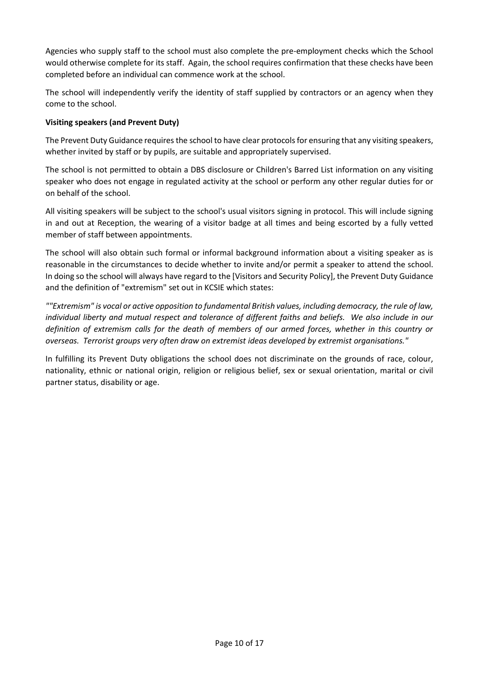Agencies who supply staff to the school must also complete the pre-employment checks which the School would otherwise complete for its staff. Again, the school requires confirmation that these checks have been completed before an individual can commence work at the school.

The school will independently verify the identity of staff supplied by contractors or an agency when they come to the school.

#### **Visiting speakers (and Prevent Duty)**

The Prevent Duty Guidance requires the school to have clear protocols for ensuring that any visiting speakers, whether invited by staff or by pupils, are suitable and appropriately supervised.

The school is not permitted to obtain a DBS disclosure or Children's Barred List information on any visiting speaker who does not engage in regulated activity at the school or perform any other regular duties for or on behalf of the school.

All visiting speakers will be subject to the school's usual visitors signing in protocol. This will include signing in and out at Reception, the wearing of a visitor badge at all times and being escorted by a fully vetted member of staff between appointments.

The school will also obtain such formal or informal background information about a visiting speaker as is reasonable in the circumstances to decide whether to invite and/or permit a speaker to attend the school. In doing so the school will always have regard to the [Visitors and Security Policy], the Prevent Duty Guidance and the definition of "extremism" set out in KCSIE which states:

*""Extremism" is vocal or active opposition to fundamental British values, including democracy, the rule of law, individual liberty and mutual respect and tolerance of different faiths and beliefs. We also include in our definition of extremism calls for the death of members of our armed forces, whether in this country or overseas. Terrorist groups very often draw on extremist ideas developed by extremist organisations."* 

In fulfilling its Prevent Duty obligations the school does not discriminate on the grounds of race, colour, nationality, ethnic or national origin, religion or religious belief, sex or sexual orientation, marital or civil partner status, disability or age.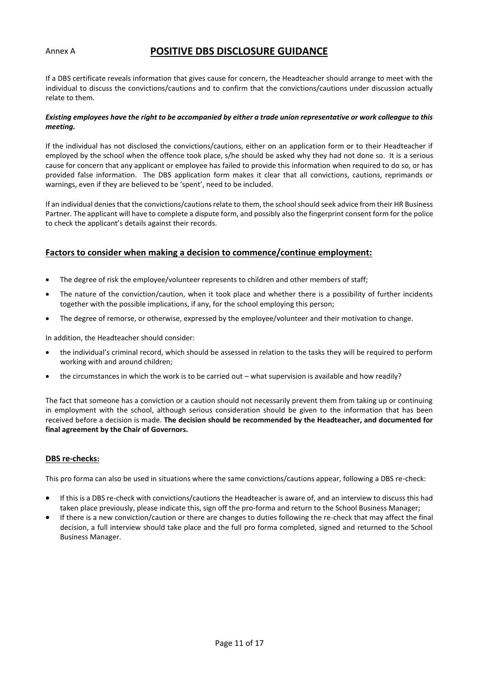#### Annex A

### **POSITIVE DBS DISCLOSURE GUIDANCE**

If a DBS certificate reveals information that gives cause for concern, the Headteacher should arrange to meet with the individual to discuss the convictions/cautions and to confirm that the convictions/cautions under discussion actually relate to them.

#### *Existing employees have the right to be accompanied by either a trade union representative or work colleague to this meeting.*

If the individual has not disclosed the convictions/cautions, either on an application form or to their Headteacher if employed by the school when the offence took place, s/he should be asked why they had not done so. It is a serious cause for concern that any applicant or employee has failed to provide this information when required to do so, or has provided false information. The DBS application form makes it clear that all convictions, cautions, reprimands or warnings, even if they are believed to be 'spent', need to be included.

If an individual denies that the convictions/cautions relate to them, the school should seek advice from their HR Business Partner. The applicant will have to complete a dispute form, and possibly also the fingerprint consent form for the police to check the applicant's details against their records.

#### **Factors to consider when making a decision to commence/continue employment:**

- The degree of risk the employee/volunteer represents to children and other members of staff;
- The nature of the conviction/caution, when it took place and whether there is a possibility of further incidents together with the possible implications, if any, for the school employing this person;
- The degree of remorse, or otherwise, expressed by the employee/volunteer and their motivation to change.

In addition, the Headteacher should consider:

- the individual's criminal record, which should be assessed in relation to the tasks they will be required to perform working with and around children;
- the circumstances in which the work is to be carried out what supervision is available and how readily?

The fact that someone has a conviction or a caution should not necessarily prevent them from taking up or continuing in employment with the school, although serious consideration should be given to the information that has been received before a decision is made. **The decision should be recommended by the Headteacher, and documented for final agreement by the Chair of Governors.** 

#### **DBS re-checks:**

This pro forma can also be used in situations where the same convictions/cautions appear, following a DBS re-check:

- If this is a DBS re-check with convictions/cautions the Headteacher is aware of, and an interview to discuss this had taken place previously, please indicate this, sign off the pro-forma and return to the School Business Manager;
- If there is a new conviction/caution or there are changes to duties following the re-check that may affect the final decision, a full interview should take place and the full pro forma completed, signed and returned to the School Business Manager.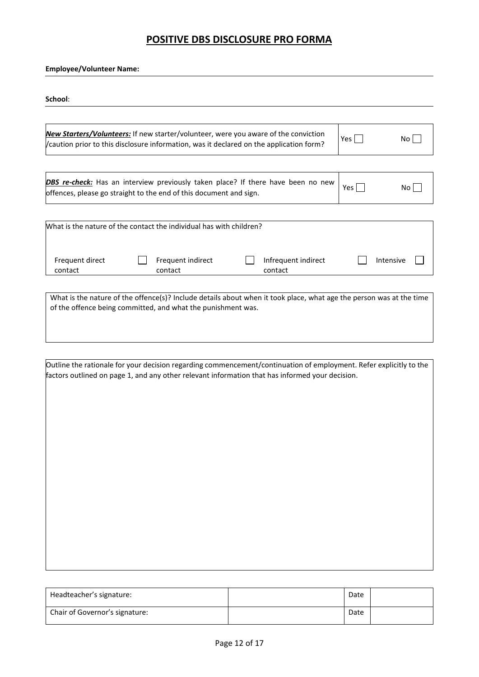## **POSITIVE DBS DISCLOSURE PRO FORMA**

**Employee/Volunteer Name:** 

| noo | И |
|-----|---|
|     |   |

| New Starters/Volunteers: If new starter/volunteer, were you aware of the conviction<br>/caution prior to this disclosure information, was it declared on the application form?      |                                                                                                                                                               |                              |  | Yes                            | No.   |           |
|-------------------------------------------------------------------------------------------------------------------------------------------------------------------------------------|---------------------------------------------------------------------------------------------------------------------------------------------------------------|------------------------------|--|--------------------------------|-------|-----------|
|                                                                                                                                                                                     |                                                                                                                                                               |                              |  |                                |       |           |
|                                                                                                                                                                                     | <b>DBS re-check:</b> Has an interview previously taken place? If there have been no new<br>offences, please go straight to the end of this document and sign. |                              |  |                                | Yes l | No.       |
|                                                                                                                                                                                     |                                                                                                                                                               |                              |  |                                |       |           |
| What is the nature of the contact the individual has with children?                                                                                                                 |                                                                                                                                                               |                              |  |                                |       |           |
| Frequent direct<br>contact                                                                                                                                                          |                                                                                                                                                               | Frequent indirect<br>contact |  | Infrequent indirect<br>contact |       | Intensive |
|                                                                                                                                                                                     |                                                                                                                                                               |                              |  |                                |       |           |
| What is the nature of the offence(s)? Include details about when it took place, what age the person was at the time<br>of the offence being committed, and what the punishment was. |                                                                                                                                                               |                              |  |                                |       |           |

| Outline the rationale for your decision regarding commencement/continuation of employment. Refer explicitly to the |
|--------------------------------------------------------------------------------------------------------------------|
| factors outlined on page 1, and any other relevant information that has informed your decision.                    |

| Headteacher's signature:       | Date |  |
|--------------------------------|------|--|
| Chair of Governor's signature: | Date |  |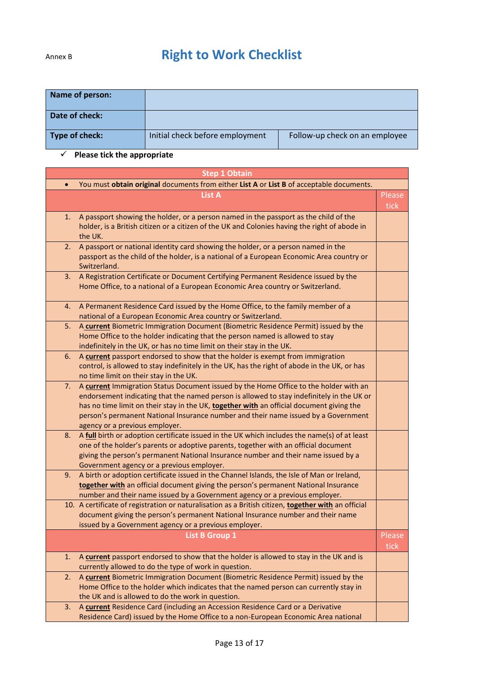# Annex B **Right to Work Checklist**

| Name of person: |                                 |                                |
|-----------------|---------------------------------|--------------------------------|
| Date of check:  |                                 |                                |
| Type of check:  | Initial check before employment | Follow-up check on an employee |

## **Please tick the appropriate**

|           | <b>Step 1 Obtain</b>                                                                                                                                                                                                                                                                                                                                                                                   |                |
|-----------|--------------------------------------------------------------------------------------------------------------------------------------------------------------------------------------------------------------------------------------------------------------------------------------------------------------------------------------------------------------------------------------------------------|----------------|
| $\bullet$ | You must obtain original documents from either List A or List B of acceptable documents.                                                                                                                                                                                                                                                                                                               |                |
|           | <b>List A</b>                                                                                                                                                                                                                                                                                                                                                                                          | Please<br>tick |
| 1.        | A passport showing the holder, or a person named in the passport as the child of the<br>holder, is a British citizen or a citizen of the UK and Colonies having the right of abode in<br>the UK.                                                                                                                                                                                                       |                |
| 2.        | A passport or national identity card showing the holder, or a person named in the<br>passport as the child of the holder, is a national of a European Economic Area country or<br>Switzerland.                                                                                                                                                                                                         |                |
| 3.        | A Registration Certificate or Document Certifying Permanent Residence issued by the<br>Home Office, to a national of a European Economic Area country or Switzerland.                                                                                                                                                                                                                                  |                |
| 4.        | A Permanent Residence Card issued by the Home Office, to the family member of a<br>national of a European Economic Area country or Switzerland.                                                                                                                                                                                                                                                        |                |
| 5.        | A current Biometric Immigration Document (Biometric Residence Permit) issued by the<br>Home Office to the holder indicating that the person named is allowed to stay<br>indefinitely in the UK, or has no time limit on their stay in the UK.                                                                                                                                                          |                |
| 6.        | A current passport endorsed to show that the holder is exempt from immigration<br>control, is allowed to stay indefinitely in the UK, has the right of abode in the UK, or has<br>no time limit on their stay in the UK.                                                                                                                                                                               |                |
| 7.        | A current Immigration Status Document issued by the Home Office to the holder with an<br>endorsement indicating that the named person is allowed to stay indefinitely in the UK or<br>has no time limit on their stay in the UK, together with an official document giving the<br>person's permanent National Insurance number and their name issued by a Government<br>agency or a previous employer. |                |
| 8.        | A full birth or adoption certificate issued in the UK which includes the name(s) of at least<br>one of the holder's parents or adoptive parents, together with an official document<br>giving the person's permanent National Insurance number and their name issued by a<br>Government agency or a previous employer.                                                                                 |                |
| 9.        | A birth or adoption certificate issued in the Channel Islands, the Isle of Man or Ireland,<br>together with an official document giving the person's permanent National Insurance<br>number and their name issued by a Government agency or a previous employer.                                                                                                                                       |                |
|           | 10. A certificate of registration or naturalisation as a British citizen, together with an official<br>document giving the person's permanent National Insurance number and their name<br>issued by a Government agency or a previous employer.                                                                                                                                                        |                |
|           | <b>List B Group 1</b>                                                                                                                                                                                                                                                                                                                                                                                  | Please<br>tick |
| 1.        | A current passport endorsed to show that the holder is allowed to stay in the UK and is<br>currently allowed to do the type of work in question.                                                                                                                                                                                                                                                       |                |
| 2.        | A current Biometric Immigration Document (Biometric Residence Permit) issued by the<br>Home Office to the holder which indicates that the named person can currently stay in<br>the UK and is allowed to do the work in question.                                                                                                                                                                      |                |
| 3.        | A current Residence Card (including an Accession Residence Card or a Derivative<br>Residence Card) issued by the Home Office to a non-European Economic Area national                                                                                                                                                                                                                                  |                |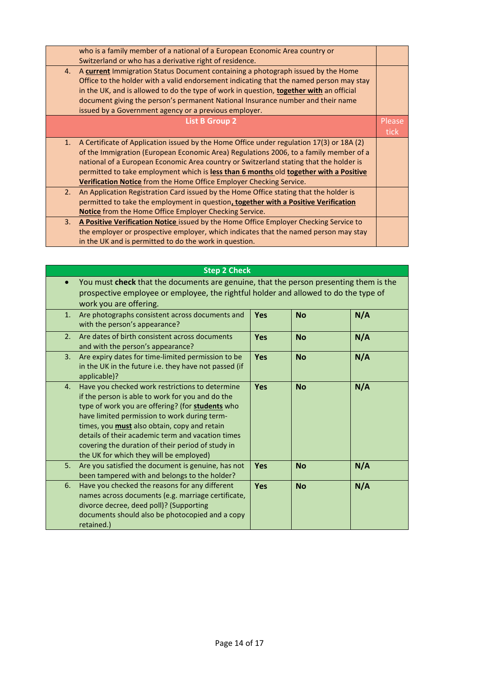| who is a family member of a national of a European Economic Area country or<br>Switzerland or who has a derivative right of residence.                                                                                                                                                                                                                                                                                                            |             |
|---------------------------------------------------------------------------------------------------------------------------------------------------------------------------------------------------------------------------------------------------------------------------------------------------------------------------------------------------------------------------------------------------------------------------------------------------|-------------|
| A current Immigration Status Document containing a photograph issued by the Home<br>4.<br>Office to the holder with a valid endorsement indicating that the named person may stay<br>in the UK, and is allowed to do the type of work in question, <b>together with</b> an official<br>document giving the person's permanent National Insurance number and their name<br>issued by a Government agency or a previous employer.                   |             |
| <b>List B Group 2</b>                                                                                                                                                                                                                                                                                                                                                                                                                             | Please      |
|                                                                                                                                                                                                                                                                                                                                                                                                                                                   | <b>tick</b> |
| A Certificate of Application issued by the Home Office under regulation 17(3) or 18A (2)<br>1.<br>of the Immigration (European Economic Area) Regulations 2006, to a family member of a<br>national of a European Economic Area country or Switzerland stating that the holder is<br>permitted to take employment which is less than 6 months old together with a Positive<br>Verification Notice from the Home Office Employer Checking Service. |             |
| An Application Registration Card issued by the Home Office stating that the holder is<br>2.<br>permitted to take the employment in question, together with a Positive Verification<br><b>Notice</b> from the Home Office Employer Checking Service.                                                                                                                                                                                               |             |
| A Positive Verification Notice issued by the Home Office Employer Checking Service to<br>3.<br>the employer or prospective employer, which indicates that the named person may stay<br>in the UK and is permitted to do the work in question.                                                                                                                                                                                                     |             |

|    | <b>Step 2 Check</b>                                                                                                                                                                                                                                                                                                                                                                                                 |            |           |     |
|----|---------------------------------------------------------------------------------------------------------------------------------------------------------------------------------------------------------------------------------------------------------------------------------------------------------------------------------------------------------------------------------------------------------------------|------------|-----------|-----|
|    | You must check that the documents are genuine, that the person presenting them is the<br>prospective employee or employee, the rightful holder and allowed to do the type of<br>work you are offering.                                                                                                                                                                                                              |            |           |     |
| 1. | Are photographs consistent across documents and<br>with the person's appearance?                                                                                                                                                                                                                                                                                                                                    | <b>Yes</b> | <b>No</b> | N/A |
| 2. | Are dates of birth consistent across documents<br>and with the person's appearance?                                                                                                                                                                                                                                                                                                                                 | <b>Yes</b> | <b>No</b> | N/A |
| 3. | Are expiry dates for time-limited permission to be<br>in the UK in the future i.e. they have not passed (if<br>applicable)?                                                                                                                                                                                                                                                                                         | <b>Yes</b> | <b>No</b> | N/A |
| 4. | Have you checked work restrictions to determine<br>if the person is able to work for you and do the<br>type of work you are offering? (for students who<br>have limited permission to work during term-<br>times, you <b>must</b> also obtain, copy and retain<br>details of their academic term and vacation times<br>covering the duration of their period of study in<br>the UK for which they will be employed) | <b>Yes</b> | <b>No</b> | N/A |
| 5. | Are you satisfied the document is genuine, has not<br>been tampered with and belongs to the holder?                                                                                                                                                                                                                                                                                                                 | <b>Yes</b> | <b>No</b> | N/A |
| 6. | Have you checked the reasons for any different<br>names across documents (e.g. marriage certificate,<br>divorce decree, deed poll)? (Supporting<br>documents should also be photocopied and a copy<br>retained.)                                                                                                                                                                                                    | <b>Yes</b> | <b>No</b> | N/A |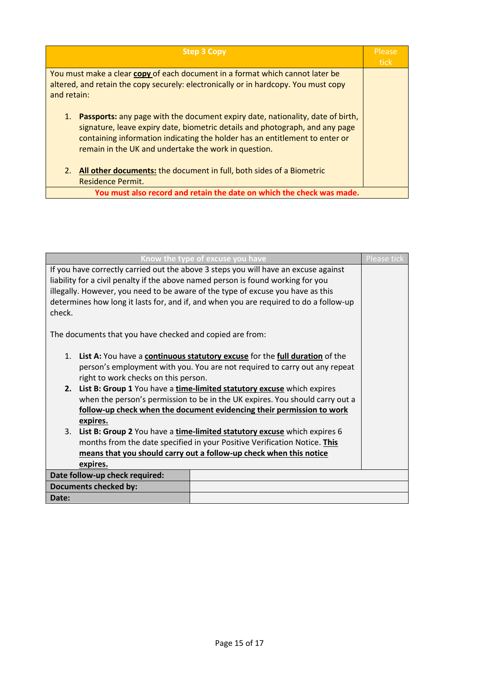| <b>Step 3 Copy</b>                                                                                                                                                                                                                                                                                                 | Please<br>tick |
|--------------------------------------------------------------------------------------------------------------------------------------------------------------------------------------------------------------------------------------------------------------------------------------------------------------------|----------------|
| You must make a clear copy of each document in a format which cannot later be<br>altered, and retain the copy securely: electronically or in hardcopy. You must copy<br>and retain:                                                                                                                                |                |
| 1.<br><b>Passports:</b> any page with the document expiry date, nationality, date of birth,<br>signature, leave expiry date, biometric details and photograph, and any page<br>containing information indicating the holder has an entitlement to enter or<br>remain in the UK and undertake the work in question. |                |
| <b>All other documents:</b> the document in full, both sides of a Biometric<br>2.<br><b>Residence Permit.</b>                                                                                                                                                                                                      |                |
| You must also record and retain the date on which the check was made.                                                                                                                                                                                                                                              |                |

| Know the type of excuse you have                                                      | <b>Please tick</b> |
|---------------------------------------------------------------------------------------|--------------------|
| If you have correctly carried out the above 3 steps you will have an excuse against   |                    |
| liability for a civil penalty if the above named person is found working for you      |                    |
| illegally. However, you need to be aware of the type of excuse you have as this       |                    |
| determines how long it lasts for, and if, and when you are required to do a follow-up |                    |
| check.                                                                                |                    |
|                                                                                       |                    |
| The documents that you have checked and copied are from:                              |                    |
|                                                                                       |                    |
| 1. List A: You have a continuous statutory excuse for the full duration of the        |                    |
| person's employment with you. You are not required to carry out any repeat            |                    |
| right to work checks on this person.                                                  |                    |
| 2. List B: Group 1 You have a time-limited statutory excuse which expires             |                    |
| when the person's permission to be in the UK expires. You should carry out a          |                    |
| follow-up check when the document evidencing their permission to work                 |                    |
| expires.                                                                              |                    |
| 3.<br>List B: Group 2 You have a time-limited statutory excuse which expires 6        |                    |
| months from the date specified in your Positive Verification Notice. This             |                    |
| means that you should carry out a follow-up check when this notice                    |                    |
| expires.                                                                              |                    |
| Date follow-up check required:                                                        |                    |
| <b>Documents checked by:</b>                                                          |                    |
| Date:                                                                                 |                    |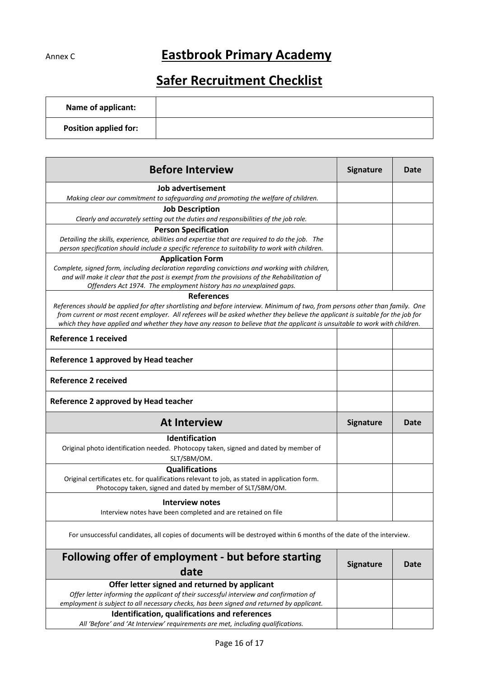# Annex C **Eastbrook Primary Academy**

# **Safer Recruitment Checklist**

| <b>Name of applicant:</b>    |  |
|------------------------------|--|
| <b>Position applied for:</b> |  |

| <b>Before Interview</b>                                                                                                                                                                                                                                                                                                                                                                         | <b>Signature</b> | Date |
|-------------------------------------------------------------------------------------------------------------------------------------------------------------------------------------------------------------------------------------------------------------------------------------------------------------------------------------------------------------------------------------------------|------------------|------|
| Job advertisement<br>Making clear our commitment to safeguarding and promoting the welfare of children.                                                                                                                                                                                                                                                                                         |                  |      |
| <b>Job Description</b>                                                                                                                                                                                                                                                                                                                                                                          |                  |      |
| Clearly and accurately setting out the duties and responsibilities of the job role.                                                                                                                                                                                                                                                                                                             |                  |      |
| <b>Person Specification</b>                                                                                                                                                                                                                                                                                                                                                                     |                  |      |
| Detailing the skills, experience, abilities and expertise that are required to do the job. The<br>person specification should include a specific reference to suitability to work with children.                                                                                                                                                                                                |                  |      |
| <b>Application Form</b>                                                                                                                                                                                                                                                                                                                                                                         |                  |      |
| Complete, signed form, including declaration regarding convictions and working with children,<br>and will make it clear that the post is exempt from the provisions of the Rehabilitation of<br>Offenders Act 1974. The employment history has no unexplained gaps.                                                                                                                             |                  |      |
| <b>References</b>                                                                                                                                                                                                                                                                                                                                                                               |                  |      |
| References should be applied for after shortlisting and before interview. Minimum of two, from persons other than family. One<br>from current or most recent employer. All referees will be asked whether they believe the applicant is suitable for the job for<br>which they have applied and whether they have any reason to believe that the applicant is unsuitable to work with children. |                  |      |
| <b>Reference 1 received</b>                                                                                                                                                                                                                                                                                                                                                                     |                  |      |
| Reference 1 approved by Head teacher                                                                                                                                                                                                                                                                                                                                                            |                  |      |
| <b>Reference 2 received</b>                                                                                                                                                                                                                                                                                                                                                                     |                  |      |
| Reference 2 approved by Head teacher                                                                                                                                                                                                                                                                                                                                                            |                  |      |
| <b>At Interview</b>                                                                                                                                                                                                                                                                                                                                                                             | <b>Signature</b> | Date |
| Identification                                                                                                                                                                                                                                                                                                                                                                                  |                  |      |
| Original photo identification needed. Photocopy taken, signed and dated by member of                                                                                                                                                                                                                                                                                                            |                  |      |
| SLT/SBM/OM.                                                                                                                                                                                                                                                                                                                                                                                     |                  |      |
| <b>Qualifications</b>                                                                                                                                                                                                                                                                                                                                                                           |                  |      |
| Original certificates etc. for qualifications relevant to job, as stated in application form.<br>Photocopy taken, signed and dated by member of SLT/SBM/OM.                                                                                                                                                                                                                                     |                  |      |
| <b>Interview notes</b>                                                                                                                                                                                                                                                                                                                                                                          |                  |      |
| Interview notes have been completed and are retained on file                                                                                                                                                                                                                                                                                                                                    |                  |      |
| For unsuccessful candidates, all copies of documents will be destroyed within 6 months of the date of the interview.                                                                                                                                                                                                                                                                            |                  |      |
| Following offer of employment - but before starting<br>date                                                                                                                                                                                                                                                                                                                                     | <b>Signature</b> | Date |
| Offer letter signed and returned by applicant<br>Offer letter informing the applicant of their successful interview and confirmation of<br>employment is subject to all necessary checks, has been signed and returned by applicant.                                                                                                                                                            |                  |      |